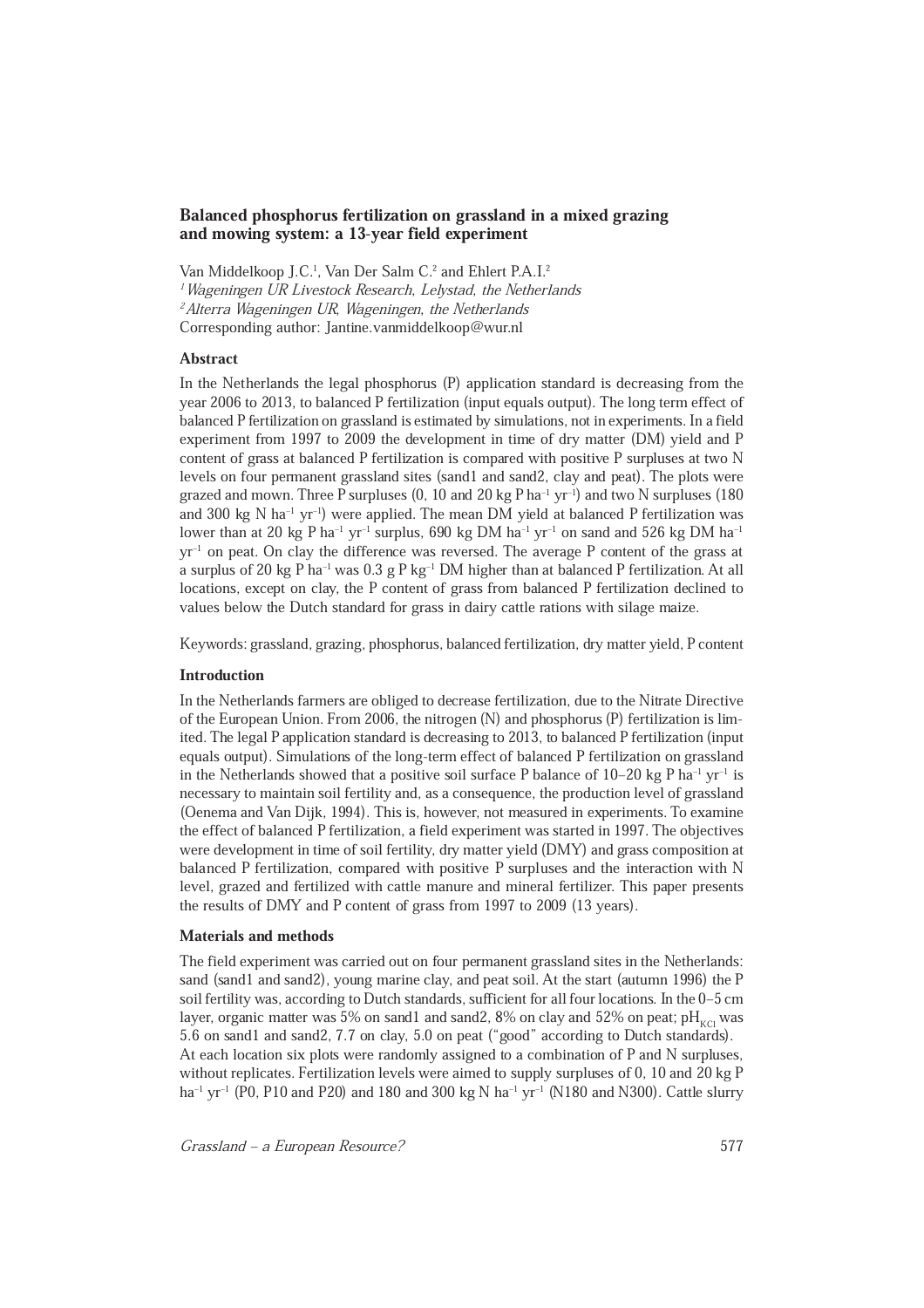# Balanced phosphorus fertilization on grassland in a mixed grazing and mowing system: a 13-year field experiment

Van Middelkoop J.C.<sup>1</sup>, Van Der Salm C.<sup>2</sup> and Ehlert P.A.I.<sup>2</sup> <sup>1</sup> Wageningen UR Livestock Research, Lelystad, the Netherlands <sup>2</sup> Alterra Wageningen UR, Wageningen, the Netherlands Corresponding author: Jantine.vanmiddelkoop@wur.nl

## Abstract

In the Netherlands the legal phosphorus (P) application standard is decreasing from the year 2006 to 2013, to balanced P fertilization (input equals output). The long term effect of balanced P fertilization on grassland is estimated by simulations, not in experiments. In a field experiment from 1997 to 2009 the development in time of dry matter (DM) yield and P content of grass at balanced P fertilization is compared with positive P surpluses at two N levels on four permanent grassland sites (sand1 and sand2, clay and peat). The plots were grazed and mown. Three P surpluses  $(0, 10$  and  $20$  kg P ha<sup>-1</sup> yr<sup>-1</sup>) and two N surpluses (180) and 300 kg N ha<sup>-1</sup> yr<sup>-1</sup>) were applied. The mean DM yield at balanced P fertilization was lower than at 20 kg P ha<sup>-1</sup> yr<sup>-1</sup> surplus, 690 kg DM ha<sup>-1</sup> yr<sup>-1</sup> on sand and 526 kg DM ha<sup>-1</sup> yr±1 on peat. On clay the difference was reversed. The average P content of the grass at a surplus of 20 kg P ha<sup>-1</sup> was  $0.3$  g P kg<sup>-1</sup> DM higher than at balanced P fertilization. At all locations, except on clay, the P content of grass from balanced P fertilization declined to values below the Dutch standard for grass in dairy cattle rations with silage maize.

Keywords: grassland, grazing, phosphorus, balanced fertilization, dry matter yield, P content

### Introduction

In the Netherlands farmers are obliged to decrease fertilization, due to the Nitrate Directive of the European Union. From 2006, the nitrogen (N) and phosphorus (P) fertilization is limited. The legal P application standard is decreasing to 2013, to balanced P fertilization (input equals output). Simulations of the long-term effect of balanced P fertilization on grassland in the Netherlands showed that a positive soil surface P balance of  $10-20$  kg P ha<sup>-1</sup> yr<sup>-1</sup> is necessary to maintain soil fertility and, as a consequence, the production level of grassland (Oenema and Van Dijk, 1994). This is, however, not measured in experiments. To examine the effect of balanced P fertilization, a field experiment was started in 1997. The objectives were development in time of soil fertility, dry matter yield (DMY) and grass composition at balanced P fertilization, compared with positive P surpluses and the interaction with N level, grazed and fertilized with cattle manure and mineral fertilizer. This paper presents the results of DMY and P content of grass from 1997 to 2009 (13 years).

## Materials and methods

The field experiment was carried out on four permanent grassland sites in the Netherlands: sand (sand1 and sand2), young marine clay, and peat soil. At the start (autumn 1996) the P soil fertility was, according to Dutch standards, sufficient for all four locations. In the 0-5 cm layer, organic matter was 5% on sand1 and sand2, 8% on clay and 52% on peat;  $pH_{KCl}$  was 5.6 on sand1 and sand2, 7.7 on clay, 5.0 on peat ("good" according to Dutch standards). At each location six plots were randomly assigned to a combination of P and N surpluses, without replicates. Fertilization levels were aimed to supply surpluses of 0, 10 and 20 kg P ha<sup>-1</sup> yr<sup>-1</sup> (P0, P10 and P20) and 180 and 300 kg N ha<sup>-1</sup> yr<sup>-1</sup> (N180 and N300). Cattle slurry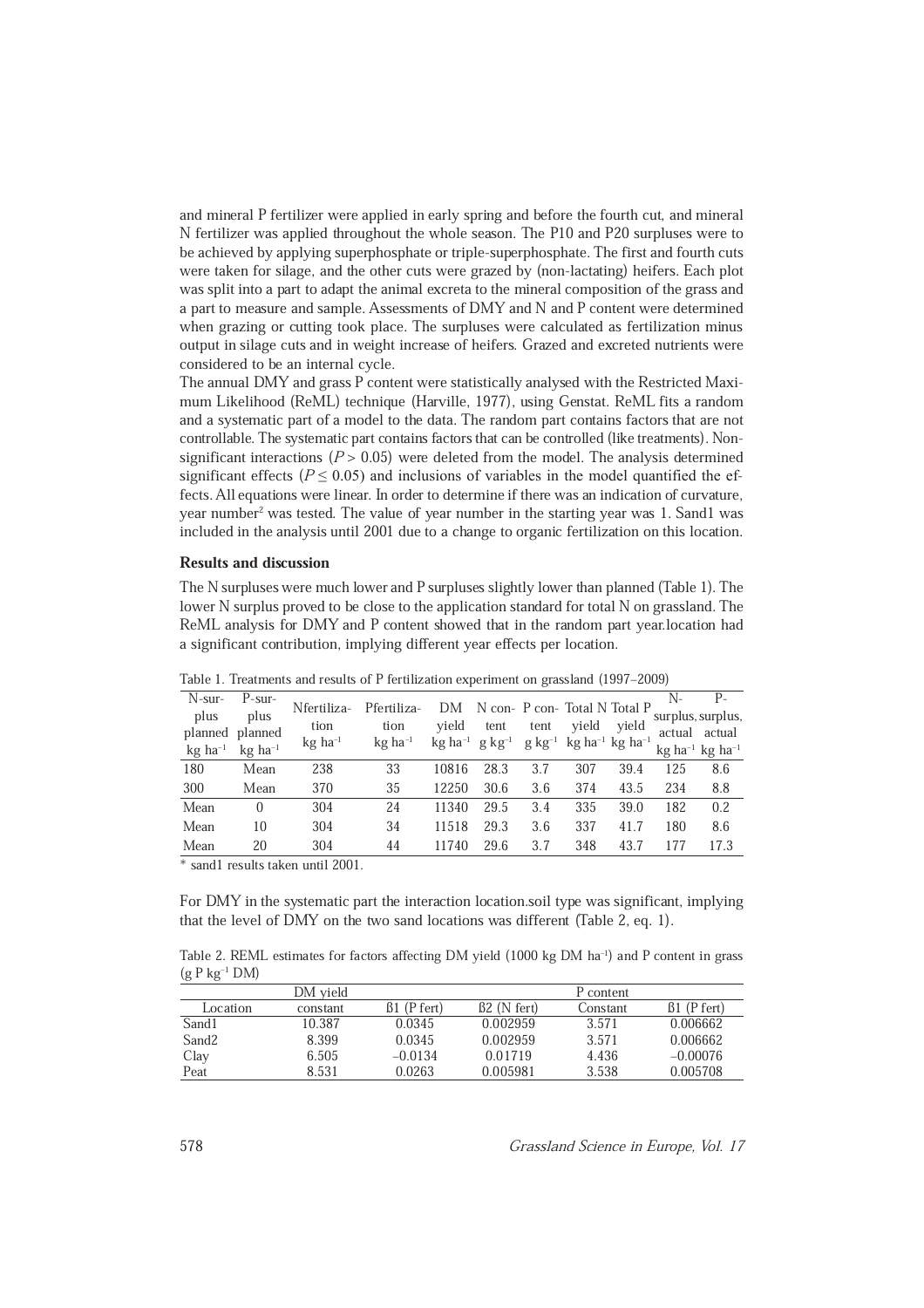and mineral P fertilizer were applied in early spring and before the fourth cut, and mineral N fertilizer was applied throughout the whole season. The P10 and P20 surpluses were to be achieved by applying superphosphate or triple-superphosphate. The first and fourth cuts were taken for silage, and the other cuts were grazed by (non-lactating) heifers. Each plot was split into a part to adapt the animal excreta to the mineral composition of the grass and a part to measure and sample. Assessments of DMY and N and P content were determined when grazing or cutting took place. The surpluses were calculated as fertilization minus output in silage cuts and in weight increase of heifers. Grazed and excreted nutrients were considered to be an internal cycle.

The annual DMY and grass P content were statistically analysed with the Restricted Maximum Likelihood (ReML) technique (Harville, 1977), using Genstat. ReML fits a random and a systematic part of a model to the data. The random part contains factors that are not controllable. The systematic part contains factors that can be controlled (like treatments). Nonsignificant interactions ( $P > 0.05$ ) were deleted from the model. The analysis determined significant effects ( $P \le 0.05$ ) and inclusions of variables in the model quantified the effects. All equations were linear. In order to determine if there was an indication of curvature, year number<sup>2</sup> was tested. The value of year number in the starting year was 1. Sand1 was included in the analysis until 2001 due to a change to organic fertilization on this location.

#### Results and discussion

The N surpluses were much lower and P surpluses slightly lower than planned (Table 1). The lower N surplus proved to be close to the application standard for total N on grassland. The ReML analysis for DMY and P content showed that in the random part year.location had a significant contribution, implying different year effects per location.

|                       |                       |                       |                       |       |                                          | $\checkmark$ |                                   |       |     |                                           |  |
|-----------------------|-----------------------|-----------------------|-----------------------|-------|------------------------------------------|--------------|-----------------------------------|-------|-----|-------------------------------------------|--|
| $N$ -sur-             | $P$ -sur-             |                       |                       |       |                                          |              |                                   |       | N-  | $P -$                                     |  |
| plus                  | plus                  | Nfertiliza-           | Pfertiliza-           | DM    |                                          |              | N con- P con- Total N Total P     |       |     | surplus, surplus,                         |  |
| planned               | planned               | tion                  | tion                  | vield | tent                                     | tent         | vield                             | vield |     | actual actual                             |  |
| $kg$ ha <sup>-1</sup> | $kg$ ha <sup>-1</sup> | $kg$ ha <sup>-1</sup> | $kg$ ha <sup>-1</sup> |       | $kg$ ha <sup>-1</sup> g kg <sup>-1</sup> |              | $g kg^{-1} kg ha^{-1} kg ha^{-1}$ |       |     | $kg$ ha <sup>-1</sup> kg ha <sup>-1</sup> |  |
| 180                   | Mean                  | 238                   | 33                    | 10816 | 28.3                                     | 3.7          | 307                               | 39.4  | 125 | 8.6                                       |  |
| 300                   | Mean                  | 370                   | 35                    | 12250 | 30.6                                     | 3.6          | 374                               | 43.5  | 234 | 8.8                                       |  |
| Mean                  | $\Omega$              | 304                   | 24                    | 11340 | 29.5                                     | 3.4          | 335                               | 39.0  | 182 | 0.2                                       |  |
| Mean                  | 10                    | 304                   | 34                    | 11518 | 29.3                                     | 3.6          | 337                               | 41.7  | 180 | 8.6                                       |  |
| Mean                  | 20                    | 304                   | 44                    | 11740 | 29.6                                     | 3.7          | 348                               | 43.7  | 177 | 17.3                                      |  |
|                       |                       |                       |                       |       |                                          |              |                                   |       |     |                                           |  |

Table 1. Treatments and results of P fertilization experiment on grassland (1997–2009)

\* sand1 results taken until 2001.

For DMY in the systematic part the interaction location.soil type was significant, implying that the level of DMY on the two sand locations was different (Table 2, eq. 1).

Table 2. REML estimates for factors affecting DM yield (1000 kg DM ha<sup>-1</sup>) and P content in grass  $(g P kg^{-1} DM)$ 

|                   | DM vield |           |                    | P content |            |
|-------------------|----------|-----------|--------------------|-----------|------------|
| Location          | constant | (P fert)  | $\beta$ 2 (N fert) | Constant  | $(P$ fert) |
| Sand1             | 10.387   | 0.0345    | 0.002959           | 3.571     | 0.006662   |
| Sand <sub>2</sub> | 8.399    | 0.0345    | 0.002959           | 3.571     | 0.006662   |
| Clay              | 6.505    | $-0.0134$ | 0.01719            | 4.436     | $-0.00076$ |
| Peat              | 8.531    | 0.0263    | 0.005981           | 3.538     | 0.005708   |